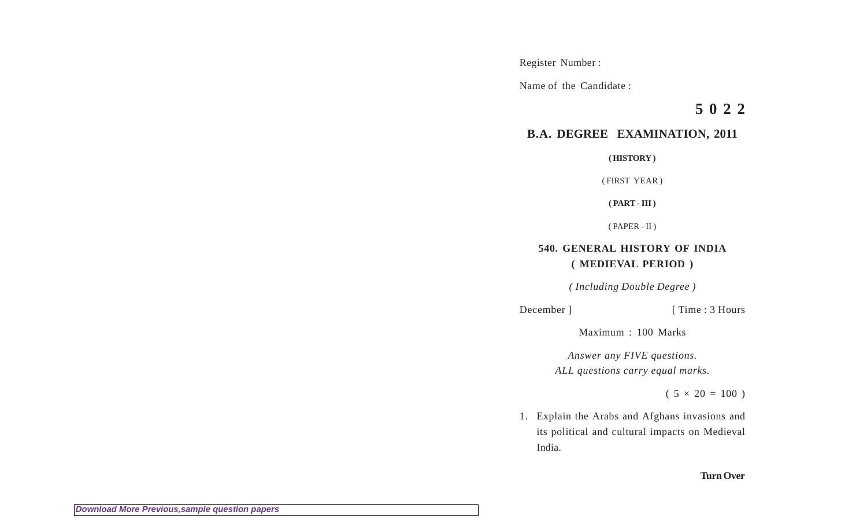Register Number :

Name of the Candidate :

**5 0 2 2**

## **B.A. DEGREE EXAMINATION, 2011**

**( HISTORY )**

( FIRST YEAR )

**( PART - III )**

( PAPER - II )

## **540. GENERAL HISTORY OF INDIA ( MEDIEVAL PERIOD )**

*( Including Double Degree )*

December ] [ Time : 3 Hours

Maximum : 100 Marks

*Answer any FIVE questions. ALL questions carry equal marks.*

 $(5 \times 20 = 100)$ 

1. Explain the Arabs and Afghans invasions and its political and cultural impacts on Medieval India.

## **Turn Over**